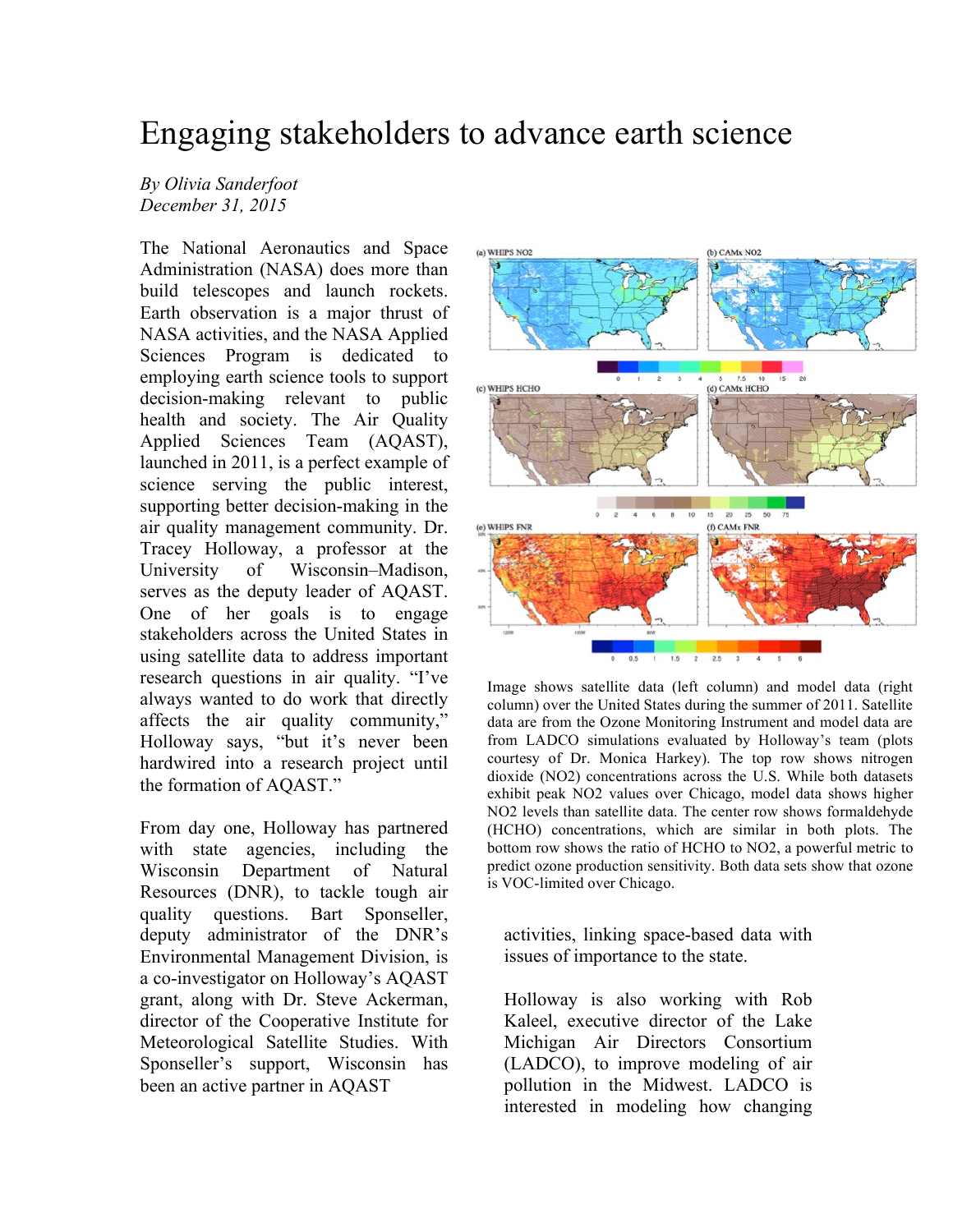## Engaging stakeholders to advance earth science

## *By Olivia Sanderfoot December 31, 2015*

The National Aeronautics and Space Administration (NASA) does more than build telescopes and launch rockets. Earth observation is a major thrust of NASA activities, and the NASA Applied Sciences Program is dedicated to employing earth science tools to support decision-making relevant to public health and society. The Air Quality Applied Sciences Team (AQAST), launched in 2011, is a perfect example of science serving the public interest, supporting better decision-making in the air quality management community. Dr. Tracey Holloway, a professor at the University of Wisconsin–Madison, serves as the deputy leader of AQAST. One of her goals is to engage stakeholders across the United States in using satellite data to address important research questions in air quality. "I've always wanted to do work that directly affects the air quality community," Holloway says, "but it's never been hardwired into a research project until the formation of AQAST."

From day one, Holloway has partnered with state agencies, including the Wisconsin Department of Natural Resources (DNR), to tackle tough air quality questions. Bart Sponseller, deputy administrator of the DNR's Environmental Management Division, is a co-investigator on Holloway's AQAST grant, along with Dr. Steve Ackerman, director of the Cooperative Institute for Meteorological Satellite Studies. With Sponseller's support, Wisconsin has been an active partner in AQAST



Image shows satellite data (left column) and model data (right column) over the United States during the summer of 2011. Satellite data are from the Ozone Monitoring Instrument and model data are from LADCO simulations evaluated by Holloway's team (plots courtesy of Dr. Monica Harkey). The top row shows nitrogen dioxide (NO2) concentrations across the U.S. While both datasets exhibit peak NO2 values over Chicago, model data shows higher NO2 levels than satellite data. The center row shows formaldehyde (HCHO) concentrations, which are similar in both plots. The bottom row shows the ratio of HCHO to NO2, a powerful metric to predict ozone production sensitivity. Both data sets show that ozone is VOC-limited over Chicago.

activities, linking space-based data with issues of importance to the state.

Holloway is also working with Rob Kaleel, executive director of the Lake Michigan Air Directors Consortium (LADCO), to improve modeling of air pollution in the Midwest. LADCO is interested in modeling how changing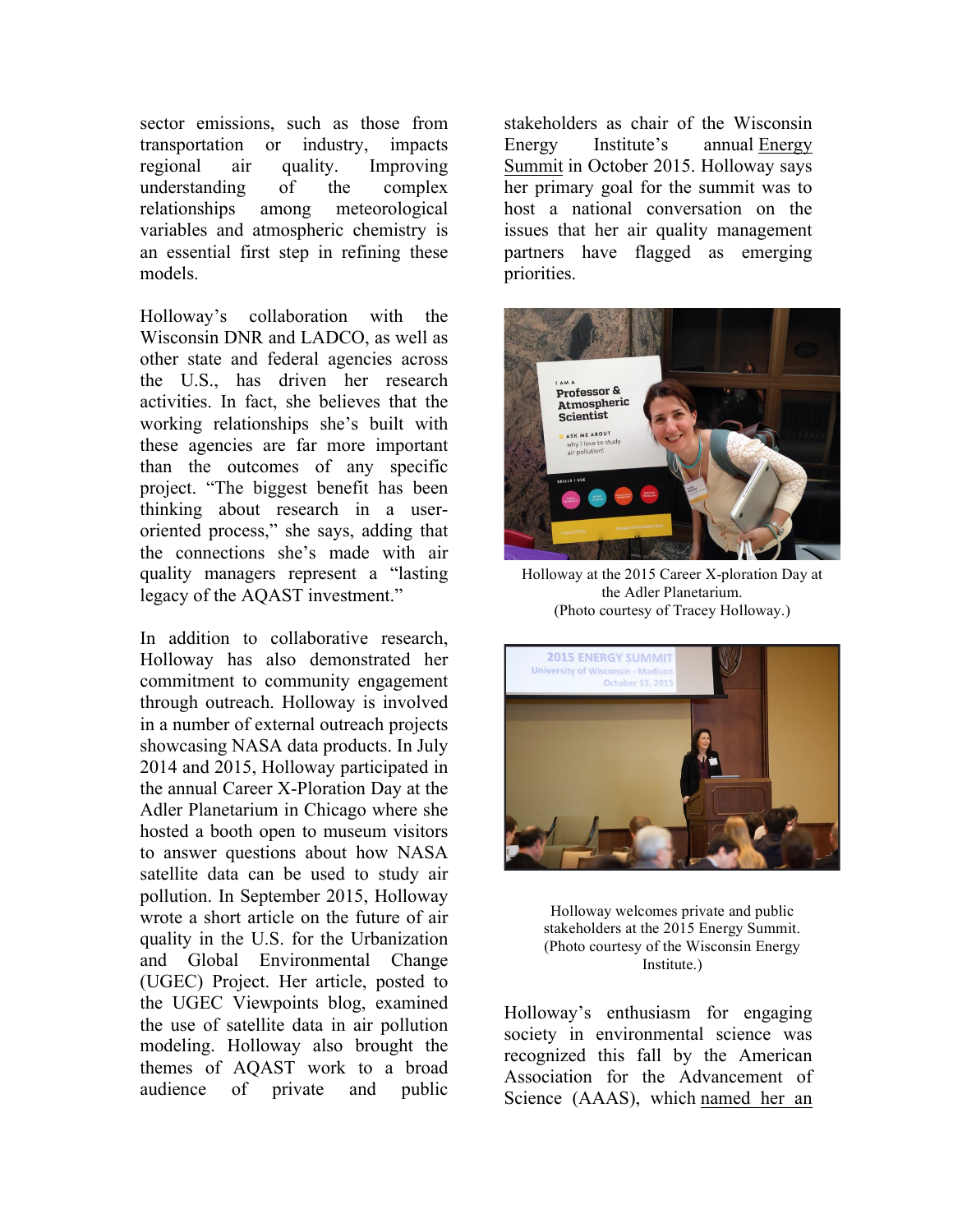sector emissions, such as those from transportation or industry, impacts regional air quality. Improving understanding of the complex relationships among meteorological variables and atmospheric chemistry is an essential first step in refining these models.

Holloway's collaboration with the Wisconsin DNR and LADCO, as well as other state and federal agencies across the U.S., has driven her research activities. In fact, she believes that the working relationships she's built with these agencies are far more important than the outcomes of any specific project. "The biggest benefit has been thinking about research in a useroriented process," she says, adding that the connections she's made with air quality managers represent a "lasting legacy of the AQAST investment."

In addition to collaborative research, Holloway has also demonstrated her commitment to community engagement through outreach. Holloway is involved in a number of external outreach projects showcasing NASA data products. In July 2014 and 2015, Holloway participated in the annual Career X-Ploration Day at the Adler Planetarium in Chicago where she hosted a booth open to museum visitors to answer questions about how NASA satellite data can be used to study air pollution. In September 2015, Holloway wrote a short article on the future of air quality in the U.S. for the Urbanization and Global Environmental Change (UGEC) Project. Her article, posted to the UGEC Viewpoints blog, examined the use of satellite data in air pollution modeling. Holloway also brought the themes of AQAST work to a broad audience of private and public

stakeholders as chair of the Wisconsin Energy Institute's annual Energy Summit in October 2015. Holloway says her primary goal for the summit was to host a national conversation on the issues that her air quality management partners have flagged as emerging priorities.



Holloway at the 2015 Career X-ploration Day at the Adler Planetarium. (Photo courtesy of Tracey Holloway.)



Holloway welcomes private and public stakeholders at the 2015 Energy Summit. (Photo courtesy of the Wisconsin Energy Institute.)

Holloway's enthusiasm for engaging society in environmental science was recognized this fall by the American Association for the Advancement of Science (AAAS), which named her an